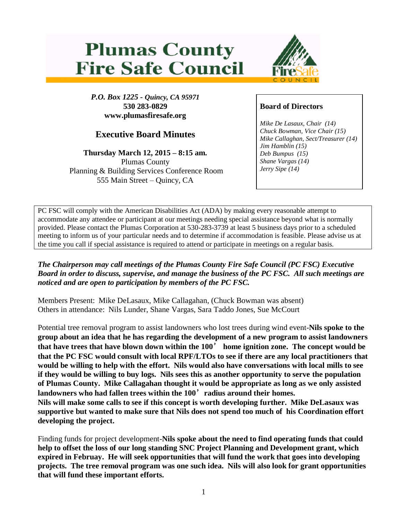## **Plumas County Fire Safe Council**



*P.O. Box 1225 - Quincy, CA 95971* **530 283-0829 www.plumasfiresafe.org**

## **Executive Board Minutes**

**Thursday March 12, 2015 – 8:15 am.** Plumas County Planning & Building Services Conference Room 555 Main Street – Quincy, CA

## **Board of Directors**

*Mike De Lasaux, Chair (14) Chuck Bowman, Vice Chair (15) Mike Callaghan, Sect/Treasurer (14) Jim Hamblin (15) Deb Bumpus (15) Shane Vargas (14) Jerry Sipe (14)* 

PC FSC will comply with the American Disabilities Act (ADA) by making every reasonable attempt to accommodate any attendee or participant at our meetings needing special assistance beyond what is normally provided. Please contact the Plumas Corporation at 530-283-3739 at least 5 business days prior to a scheduled meeting to inform us of your particular needs and to determine if accommodation is feasible. Please advise us at the time you call if special assistance is required to attend or participate in meetings on a regular basis.

*The Chairperson may call meetings of the Plumas County Fire Safe Council (PC FSC) Executive Board in order to discuss, supervise, and manage the business of the PC FSC. All such meetings are noticed and are open to participation by members of the PC FSC.*

Members Present: Mike DeLasaux, Mike Callagahan, (Chuck Bowman was absent) Others in attendance: Nils Lunder, Shane Vargas, Sara Taddo Jones, Sue McCourt

Potential tree removal program to assist landowners who lost trees during wind event-**Nils spoke to the group about an idea that he has regarding the development of a new program to assist landowners that have trees that have blown down within the 100**' **home ignition zone. The concept would be that the PC FSC would consult with local RPF/LTOs to see if there are any local practitioners that would be willing to help with the effort. Nils would also have conversations with local mills to see if they would be willing to buy logs. Nils sees this as another opportunity to serve the population of Plumas County. Mike Callagahan thought it would be appropriate as long as we only assisted landowners who had fallen trees within the 100**'**radius around their homes. Nils will make some calls to see if this concept is worth developing further. Mike DeLasaux was supportive but wanted to make sure that Nils does not spend too much of his Coordination effort developing the project.**

Finding funds for project development-**Nils spoke about the need to find operating funds that could help to offset the loss of our long standing SNC Project Planning and Development grant, which expired in Februay. He will seek opportunities that will fund the work that goes into developing projects. The tree removal program was one such idea. Nils will also look for grant opportunities that will fund these important efforts.**